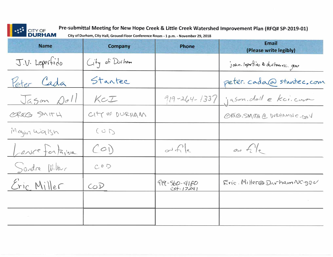|  | CITY OF |
|--|---------|
|  | DURH    |

**Pre-submittal Meeting for New Hope Creek & Little Creek Watershed Improvement Plan (RFQ# SP-2019-01)**<br>**JRHAM** city of Durham, City Hall, Ground Floor Conference Room - 1 p.m. - November 29. 2018

**DURHAM City of Durham, City Hall, Ground Floor Conference Room - 1 p.m. - November 29, 2018** 

| <b>Name</b>       | <b>Company</b> | <b>Phone</b>                    | <b>Email</b><br>(Please write legibly) |
|-------------------|----------------|---------------------------------|----------------------------------------|
| J.V. Loperfido    | City of Durham |                                 | john. loperlier & durhamme, gou        |
| Peter Cada        | Stantec        |                                 | peter. cada@stantec.com                |
| Jagon Doll        | KCI            |                                 | 919-264-1337 jason. doll e kci. com    |
| OREG SMITH        | CITY OF DURHAM |                                 | GREG. SMITH @ DURHAMNC-GOV             |
| Megan Walsh       | (C)            |                                 |                                        |
| Lance for taine   | (C0)           | $\alpha$ fle                    | $\int$                                 |
| Sandra Wilber     | COO            |                                 |                                        |
| Eric Miller       | COD            | $919 - 560 - 4150$<br>Cxt.17241 | $Fric$ . Miller@DarhamNC.gov           |
|                   |                |                                 | $\sim 10^{-11}$                        |
| <b>Contractor</b> |                |                                 |                                        |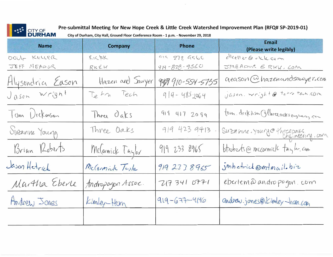

Pre-submittal Meeting for New Hope Creek & Little Creek Watershed Improvement Plan (RFQ# SP-2019-01)

 $\left\vert \gamma \right\rangle$ 

City of Durham, City Hall, Ground Floor Conference Room - 1 p.m. - November 29, 2018

| <b>Name</b>      | <b>Company</b>    | <b>Phone</b>       | <b>Email</b><br>(Please write legibly)      |
|------------------|-------------------|--------------------|---------------------------------------------|
| DOUG KELLER      | KICBK             | 972 972 9566       | diceller@rick.com                           |
| JEFF MEADOR      | $R$ K $C$ K       | $919 - 378 - 9560$ | JMEADUR & RKK, LOM                          |
|                  | Hazen and Sawyer  | 9499 910-554-5735  | geason @ hazenandsawyer.com                 |
| Alysendria Eason | Tetra Tech        | $914 - 4852064$    | $j$ <i>(150m. wright@ term tech.com</i>     |
| Tum Dickmson     | Three Oaks        | 919 417 2099       | tom. deck ison Othercroates engineering con |
| Suzanne Young    | Three Oaks        | 919 423 9413       | Suzanne. Yourge three pals, com             |
| Brian Roberts    | McCornick Taylor  | 919 233 8965       | btroberts@mccormicle taylor.com             |
| Jason Hetrick    | McCormick Tesla   | 919 23 7 8 965     | imhetrick@mtmail.biz                        |
| Martha Eberle    | Andropogon Assoc. | 2173410771         | eberlem à andro pogon com                   |
| Andrew Jones     | Kimley-Horn       | $919 - 677 - 4146$ | andrew.jones@1 komley-ham.com               |
|                  |                   |                    |                                             |